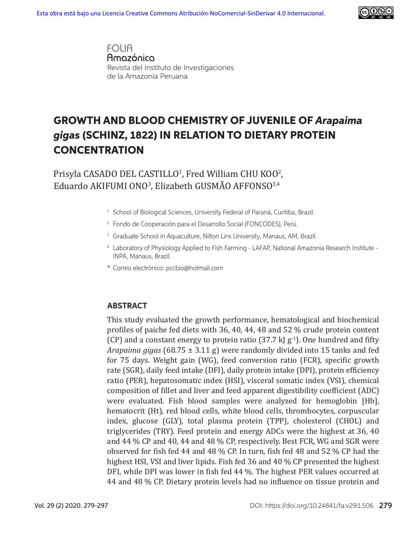

**FOLIA** Amazónica Revista del Instituto de Investigaciones de la Amazonía Peruana

# GROWTH AND BLOOD CHEMISTRY OF JUVENILE OF *Arapaima gigas* (SCHINZ, 1822) IN RELATION TO DIETARY PROTEIN **CONCENTRATION**

 $P$ risyla CASADO DEL CASTILLO<sup>1</sup>, Fred William CHU KOO<sup>2</sup>,  $\rm Eduardo$  AKIFUMI ONO<sup>3</sup>, Elizabeth GUSMAO AFFONSO $^{3,4}$ 

- <sup>1</sup> School of Biological Sciences, University Federal of Paraná, Curitiba, Brazil.
- 2 Fondo de Cooperación para el Desarrollo Social (FONCODES), Perú.
- <sup>3</sup> Graduate School in Aquaculture, Nilton Lins University, Manaus, AM, Brazil.
- 4 Laboratory of Physiology Applied to Fish Farming LAFAP, National Amazonia Research Institute INPA, Manaus, Brazil.
- \* Correo electrónico: pccbio@hotmail.com

#### **ABSTRACT**

This study evaluated the growth performance, hematological and biochemical profiles of paiche fed diets with 36, 40, 44, 48 and 52.% crude protein content (CP) and a constant energy to protein ratio (37.7 kJ  $g^{-1}$ ). One hundred and fifty *Arapaima gigas* (68.75 ± 3.11 g) were randomly divided into 15 tanks and fed for 75 days. Weight gain (WG), feed conversion ratio (FCR), specific growth rate (SGR), daily feed intake (DFI), daily protein intake (DPI), protein efficiency ratio (PER), hepatosomatic index (HSI), visceral somatic index (VSI), chemical composition of fillet and liver and feed apparent digestibility coefficient (ADC) were evaluated. Fish blood samples were analyzed for hemoglobin [Hb], hematocrit (Ht), red blood cells, white blood cells, thrombocytes, corpuscular index, glucose (GLY), total plasma protein (TPP), cholesterol (CHOL) and triglycerides (TRY). Feed protein and energy ADCs were the highest at 36, 40 and 44 % CP and 40, 44 and 48 % CP, respectively. Best FCR, WG and SGR were observed for fish fed 44 and 48 % CP. In turn, fish fed 48 and 52 % CP had the highest HSI, VSI and liver lipids. Fish fed 36 and 40 % CP presented the highest DFI, while DPI was lower in fish fed 44 %. The highest PER values occurred at 44 and 48 % CP. Dietary protein levels had no influence on tissue protein and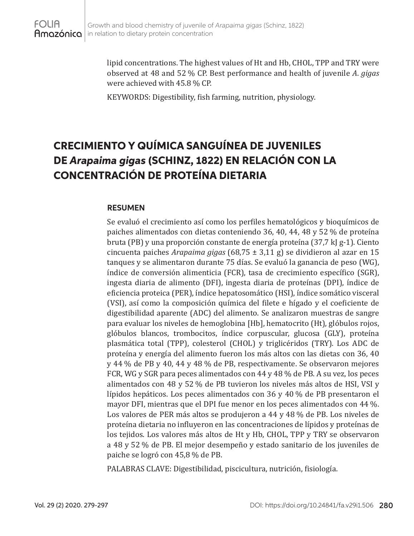lipid concentrations. The highest values of Ht and Hb, CHOL, TPP and TRY were observed at 48 and 52.% CP. Best performance and health of juvenile *A*. *gigas* were achieved with 45.8 % CP.

KEYWORDS: Digestibility, fish farming, nutrition, physiology.

# CRECIMIENTO Y QUÍMICA SANGUÍNEA DE JUVENILES DE *Arapaima gigas* (SCHINZ, 1822) EN RELACIÓN CON LA CONCENTRACIÓN DE PROTEÍNA DIETARIA

#### **RESUMEN**

Se evaluó el crecimiento así como los perfiles hematológicos y bioquímicos de paiches alimentados con dietas conteniendo 36, 40, 44, 48 y 52.% de proteína bruta (PB) y una proporción constante de energía proteína (37,7 kJ g-1). Ciento cincuenta paiches *Arapaima gigas* (68,75 ± 3,11 g) se dividieron al azar en 15 tanques y se alimentaron durante 75 días. Se evaluó la ganancia de peso (WG), índice de conversión alimenticia (FCR), tasa de crecimiento específico (SGR), ingesta diaria de alimento (DFI), ingesta diaria de proteínas (DPI), índice de eficiencia proteica (PER), índice hepatosomático (HSI), índice somático visceral (VSI), así como la composición química del filete e hígado y el coeficiente de digestibilidad aparente (ADC) del alimento. Se analizaron muestras de sangre para evaluar los niveles de hemoglobina [Hb], hematocrito (Ht), glóbulos rojos, glóbulos blancos, trombocitos, índice corpuscular, glucosa (GLY), proteína plasmática total (TPP), colesterol (CHOL) y triglicéridos (TRY). Los ADC de proteína y energía del alimento fueron los más altos con las dietas con 36, 40 y 44.% de PB y 40, 44 y 48.% de PB, respectivamente. Se observaron mejores FCR, WG y SGR para peces alimentados con 44 y 48 % de PB. A su vez, los peces alimentados con 48 y 52.% de PB tuvieron los niveles más altos de HSI, VSI y lípidos hepáticos. Los peces alimentados con 36 y 40 % de PB presentaron el mayor DFI, mientras que el DPI fue menor en los peces alimentados con 44 %. Los valores de PER más altos se produjeron a 44 y 48 % de PB. Los niveles de proteína dietaria no influyeron en las concentraciones de lípidos y proteínas de los tejidos. Los valores más altos de Ht y Hb, CHOL, TPP y TRY se observaron a 48 y 52.% de PB. El mejor desempeño y estado sanitario de los juveniles de paiche se logró con 45,8 % de PB.

PALABRAS CLAVE: Digestibilidad, piscicultura, nutrición, fisiología.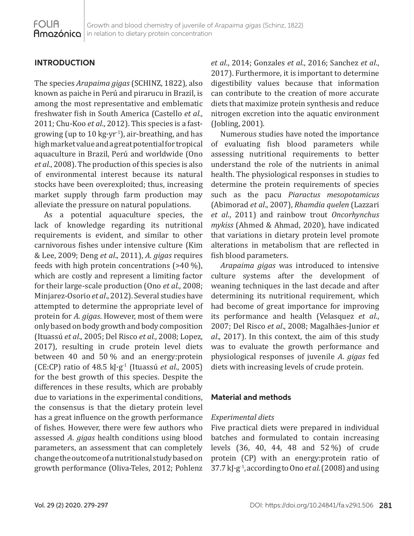## **INTRODUCTION**

The species *Arapaima gigas* (SCHINZ, 1822), also known as paiche in Perú and pirarucu in Brazil, is among the most representative and emblematic freshwater fish in South America (Castello *et al*., 2011; Chu-Koo *et al*., 2012). This species is a fastgrowing (up to 10 kg·yr<sup>-1</sup>), air-breathing, and has high market value and a great potential for tropical aquaculture in Brazil, Perú and worldwide (Ono *et al*., 2008). The production of this species is also of environmental interest because its natural stocks have been overexploited; thus, increasing market supply through farm production may alleviate the pressure on natural populations.

As a potential aquaculture species, the lack of knowledge regarding its nutritional requirements is evident, and similar to other carnivorous fishes under intensive culture (Kim & Lee, 2009; Deng *et al*., 2011), *A*. *gigas* requires feeds with high protein concentrations  $($ >40 %), which are costly and represent a limiting factor for their large-scale production (Ono *et al*., 2008; Minjarez-Osorio *et al*., 2012). Several studies have attempted to determine the appropriate level of protein for *A*. *gigas*. However, most of them were only based on body growth and body composition (Ituassú *et al*., 2005; Del Risco *et al.*, 2008; Lopez, 2017), resulting in crude protein level diets between 40 and 50.% and an energy:protein (CE:CP) ratio of 48.5 kJ·g-1 (Ituassú *et al*., 2005) for the best growth of this species. Despite the differences in these results, which are probably due to variations in the experimental conditions, the consensus is that the dietary protein level has a great influence on the growth performance of fishes. However, there were few authors who assessed *A*. *gigas* health conditions using blood parameters, an assessment that can completely change the outcome of a nutritional study based on growth performance (Oliva-Teles, 2012; Pohlenz *et al*., 2014; Gonzales *et al*., 2016; Sanchez *et al*., 2017). Furthermore, it is important to determine digestibility values because that information can contribute to the creation of more accurate diets that maximize protein synthesis and reduce nitrogen excretion into the aquatic environment (Jobling, 2001).

Numerous studies have noted the importance of evaluating fish blood parameters while assessing nutritional requirements to better understand the role of the nutrients in animal health. The physiological responses in studies to determine the protein requirements of species such as the pacu *Piaractus mesopotamicus* (Abimorad *et al*., 2007), *Rhamdia quelen* (Lazzari *et al*., 2011) and rainbow trout *Oncorhynchus mykiss* (Ahmed & Ahmad, 2020), have indicated that variations in dietary protein level promote alterations in metabolism that are reflected in fish blood parameters.

*Arapaima gigas* was introduced to intensive culture systems after the development of weaning techniques in the last decade and after determining its nutritional requirement, which had become of great importance for improving its performance and health (Velasquez *et al*., 2007; Del Risco *et al*., 2008; Magalhães-Junior *et al*., 2017). In this context, the aim of this study was to evaluate the growth performance and physiological responses of juvenile *A*. *gigas* fed diets with increasing levels of crude protein.

### **Material and methods**

### *Experimental diets*

Five practical diets were prepared in individual batches and formulated to contain increasing levels (36, 40, 44, 48 and 52.%) of crude protein (CP) with an energy:protein ratio of 37.7 kJ·g-1, according to Ono *et al*. (2008) and using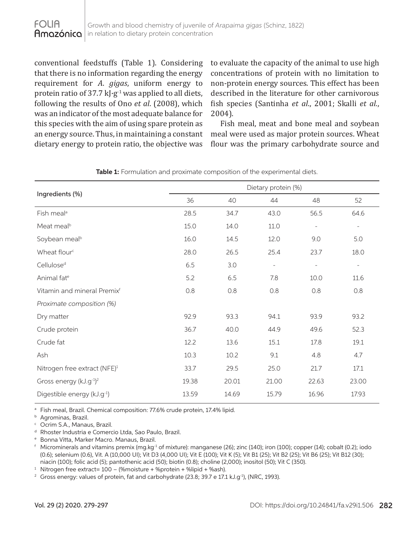conventional feedstuffs (Table 1). Considering that there is no information regarding the energy requirement for *A*. *gigas*, uniform energy to protein ratio of 37.7 kJ $\cdot$ g<sup>-1</sup> was applied to all diets, following the results of Ono *et al*. (2008), which was an indicator of the most adequate balance for this species with the aim of using spare protein as an energy source. Thus, in maintaining a constant dietary energy to protein ratio, the objective was

to evaluate the capacity of the animal to use high concentrations of protein with no limitation to non-protein energy sources. This effect has been described in the literature for other carnivorous fish species (Santinha *et al*., 2001; Skalli *et al.*, 2004).

Fish meal, meat and bone meal and soybean meal were used as major protein sources. Wheat flour was the primary carbohydrate source and

|                                          | Dietary protein (%) |       |                          |                          |                          |
|------------------------------------------|---------------------|-------|--------------------------|--------------------------|--------------------------|
| Ingredients (%)                          | 36                  | 40    | 44                       | 48                       | 52                       |
| Fish meal <sup>a</sup>                   | 28.5                | 34.7  | 43.0                     | 56.5                     | 64.6                     |
| Meat meal <sup>b</sup>                   | 15.0                | 14.0  | 11.0                     | $\overline{\phantom{a}}$ | $\overline{\phantom{a}}$ |
| Soybean meal <sup>b</sup>                | 16.0                | 14.5  | 12.0                     | 9.0                      | 5.0                      |
| Wheat flour <sup>c</sup>                 | 28.0                | 26.5  | 25.4                     | 23.7                     | 18.0                     |
| Cellulose <sup>d</sup>                   | 6.5                 | 3.0   | $\overline{\phantom{a}}$ | $\overline{\phantom{a}}$ | $\overline{\phantom{a}}$ |
| Animal fat <sup>e</sup>                  | 5.2                 | 6.5   | 7.8                      | 10.0                     | 11.6                     |
| Vitamin and mineral Premix <sup>f</sup>  | 0.8                 | 0.8   | 0.8                      | 0.8                      | 0.8                      |
| Proximate composition (%)                |                     |       |                          |                          |                          |
| Dry matter                               | 92.9                | 93.3  | 94.1                     | 93.9                     | 93.2                     |
| Crude protein                            | 36.7                | 40.0  | 44.9                     | 49.6                     | 52.3                     |
| Crude fat                                | 12.2                | 13.6  | 15.1                     | 17.8                     | 19.1                     |
| Ash                                      | 10.3                | 10.2  | 9.1                      | 4.8                      | 4.7                      |
| Nitrogen free extract (NFE) <sup>1</sup> | 33.7                | 29.5  | 25.0                     | 21.7                     | 17.1                     |
| Gross energy (kJ.g <sup>-1)2</sup>       | 19.38               | 20.01 | 21.00                    | 22.63                    | 23.00                    |
| Digestible energy (kJ.g <sup>-1</sup> )  | 13.59               | 14.69 | 15.79                    | 16.96                    | 17.93                    |

**Table 1:** Formulation and proximate composition of the experimental diets.

a Fish meal, Brazil. Chemical composition: 77.6% crude protein, 17.4% lipid.

**b** Agrominas, Brazil.

<sup>c</sup> Ocrim S.A., Manaus, Brazil.

<sup>d</sup> Rhoster Industria e Comercio Ltda, Sao Paulo, Brazil.

<sup>e</sup> Bonna Vitta, Marker Macro. Manaus, Brazil.

 $\frac{1}{2}$  Microminerals and vitamins premix (mg.kg $\frac{1}{2}$  of mixture): manganese (26); zinc (140); iron (100); copper (14); cobalt (0.2); iodo (0.6); selenium (0.6), Vit. A (10,000 UI); Vit D3 (4,000 UI); Vit E (100); Vit K (5); Vit B1 (25); Vit B2 (25); Vit B6 (25); Vit B12 (30); niacin (100); folic acid (5); pantothenic acid (50); biotin (0.8); choline (2,000); inositol (50); Vit C (350).

<sup>1</sup> Nitrogen free extract= 100 – (%moisture + %protein + %lipid + %ash).<br><sup>2</sup> Gross energy: values of protein, fat and carbohydrate (23.8; 39.7 e 17.1 kJ.g<sup>-1</sup>), (NRC, 1993).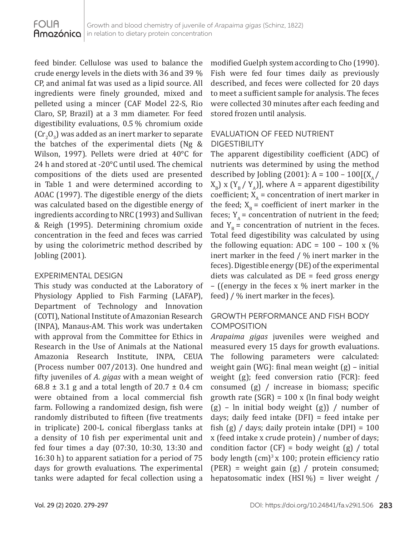feed binder. Cellulose was used to balance the crude energy levels in the diets with 36 and 39.% CP, and animal fat was used as a lipid source. All ingredients were finely grounded, mixed and pelleted using a mincer (CAF Model 22-S, Rio Claro, SP, Brazil) at a 3 mm diameter. For feed digestibility evaluations, 0.5.% chromium oxide  $(\text{Cr}_2\text{O}_3)$  was added as an inert marker to separate the batches of the experimental diets (Ng & Wilson, 1997). Pellets were dried at 40°C for 24 h and stored at -20°C until used. The chemical compositions of the diets used are presented in Table 1 and were determined according to AOAC (1997). The digestible energy of the diets was calculated based on the digestible energy of ingredients according to NRC (1993) and Sullivan & Reigh (1995). Determining chromium oxide concentration in the feed and feces was carried by using the colorimetric method described by Jobling (2001).

### EXPERIMENTAL DESIGN

This study was conducted at the Laboratory of Physiology Applied to Fish Farming (LAFAP), Department of Technology and Innovation (COTI), National Institute of Amazonian Research (INPA), Manaus-AM. This work was undertaken with approval from the Committee for Ethics in Research in the Use of Animals at the National Amazonia Research Institute, INPA, CEUA (Process number 007/2013). One hundred and fifty juveniles of *A*. *gigas* with a mean weight of 68.8  $\pm$  3.1 g and a total length of 20.7  $\pm$  0.4 cm were obtained from a local commercial fish farm. Following a randomized design, fish were randomly distributed to fifteen (five treatments in triplicate) 200-L conical fiberglass tanks at a density of 10 fish per experimental unit and fed four times a day (07:30, 10:30, 13:30 and 16:30 h) to apparent satiation for a period of 75 days for growth evaluations. The experimental tanks were adapted for fecal collection using a

modified Guelph system according to Cho (1990). Fish were fed four times daily as previously described, and feces were collected for 20 days to meet a sufficient sample for analysis. The feces were collected 30 minutes after each feeding and stored frozen until analysis.

## EVALUATION OF FEED NUTRIENT DIGESTIBILITY

The apparent digestibility coefficient (ADC) of nutrients was determined by using the method described by Jobling (2001): A =  $100 - 100[(X_A/\sqrt{2})]$  $X_{\rm B}$ ) x (Y<sub>B</sub> / Y<sub>A</sub>)], where A = apparent digestibility coefficient;  $X_{\alpha}$  = concentration of inert marker in the feed;  $X_p$  = coefficient of inert marker in the feces;  $Y_A$  = concentration of nutrient in the feed; and  $Y_{B}$  = concentration of nutrient in the feces. Total feed digestibility was calculated by using the following equation: ADC =  $100 - 100 \times$  (%) inert marker in the feed / % inert marker in the feces). Digestible energy (DE) of the experimental diets was calculated as  $DE =$  feed gross energy – ((energy in the feces x % inert marker in the feed) / % inert marker in the feces).

## GROWTH PERFORMANCE AND FISH BODY COMPOSITION

*Arapaima gigas* juveniles were weighed and measured every 15 days for growth evaluations. The following parameters were calculated: weight gain (WG): final mean weight (g) – initial weight (g); feed conversion ratio (FCR): feed consumed (g) / increase in biomass; specific growth rate  $(SGR) = 100 \times (ln final body weight)$  $(g)$  – ln initial body weight  $(g)$  / number of days; daily feed intake (DFI) = feed intake per fish  $(g)$  / days; daily protein intake  $(DPI) = 100$ x (feed intake x crude protein) / number of days; condition factor  $(CF)$  = body weight  $(g)$  / total body length  $(cm)^3$  x 100; protein efficiency ratio (PER) = weight gain (g) / protein consumed; hepatosomatic index  $(HSI\%)$  = liver weight /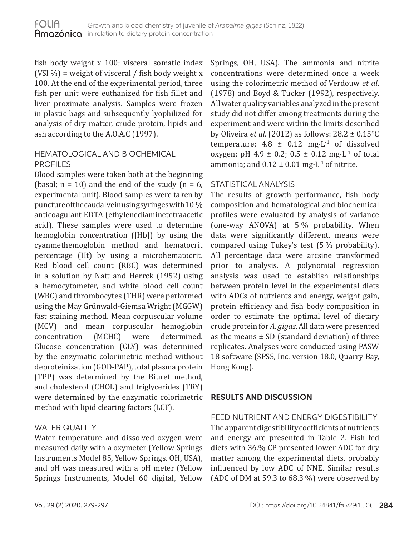fish body weight x 100; visceral somatic index (VSI $\%$ ) = weight of visceral / fish body weight x 100. At the end of the experimental period, three fish per unit were euthanized for fish fillet and liver proximate analysis. Samples were frozen in plastic bags and subsequently lyophilized for analysis of dry matter, crude protein, lipids and ash according to the A.O.A.C (1997).

### HEMATOLOGICAL AND BIOCHEMICAL PROFILES

Blood samples were taken both at the beginning (basal;  $n = 10$ ) and the end of the study ( $n = 6$ , experimental unit). Blood samples were taken by puncture of the caudal vein using syring es with 10 % anticoagulant EDTA (ethylenediaminetetraacetic acid). These samples were used to determine hemoglobin concentration ([Hb]) by using the cyanmethemoglobin method and hematocrit percentage (Ht) by using a microhematocrit. Red blood cell count (RBC) was determined in a solution by Natt and Herrck (1952) using a hemocytometer, and white blood cell count (WBC) and thrombocytes (THR) were performed using the May Grünwald-Giemsa Wright (MGGW) fast staining method. Mean corpuscular volume (MCV) and mean corpuscular hemoglobin concentration (MCHC) were determined. Glucose concentration (GLY) was determined by the enzymatic colorimetric method without deproteinization (GOD-PAP), total plasma protein (TPP) was determined by the Biuret method, and cholesterol (CHOL) and triglycerides (TRY) were determined by the enzymatic colorimetric method with lipid clearing factors (LCF).

### WATER QUALITY

Water temperature and dissolved oxygen were measured daily with a oxymeter (Yellow Springs Instruments Model 85, Yellow Springs, OH, USA), and pH was measured with a pH meter (Yellow Springs Instruments, Model 60 digital, Yellow Springs, OH, USA). The ammonia and nitrite concentrations were determined once a week using the colorimetric method of Verdouw *et al*. (1978) and Boyd & Tucker (1992), respectively. All water quality variables analyzed in the present study did not differ among treatments during the experiment and were within the limits described by Oliveira *et al.* (2012) as follows: 28.2 ± 0.15°C temperature;  $4.8 \pm 0.12$  mg·L<sup>-1</sup> of dissolved oxygen; pH 4.9  $\pm$  0.2; 0.5  $\pm$  0.12 mg $\cdot$ L<sup>-1</sup> of total ammonia; and  $0.12 \pm 0.01$  mg $\cdot$ L<sup>-1</sup> of nitrite.

### STATISTICAL ANALYSIS

The results of growth performance, fish body composition and hematological and biochemical profiles were evaluated by analysis of variance (one-way ANOVA) at  $5\%$  probability. When data were significantly different, means were compared using Tukey's test  $(5%$  probability). All percentage data were arcsine transformed prior to analysis. A polynomial regression analysis was used to establish relationships between protein level in the experimental diets with ADCs of nutrients and energy, weight gain, protein efficiency and fish body composition in order to estimate the optimal level of dietary crude protein for *A*. *gigas*. All data were presented as the means  $\pm$  SD (standard deviation) of three replicates. Analyses were conducted using PASW 18 software (SPSS, Inc. version 18.0, Quarry Bay, Hong Kong).

## **RESULTS AND DISCUSSION**

FEED NUTRIENT AND ENERGY DIGESTIBILITY The apparent digestibility coefficients of nutrients and energy are presented in Table 2. Fish fed diets with 36.% CP presented lower ADC for dry matter among the experimental diets, probably influenced by low ADC of NNE. Similar results (ADC of DM at 59.3 to 68.3 %) were observed by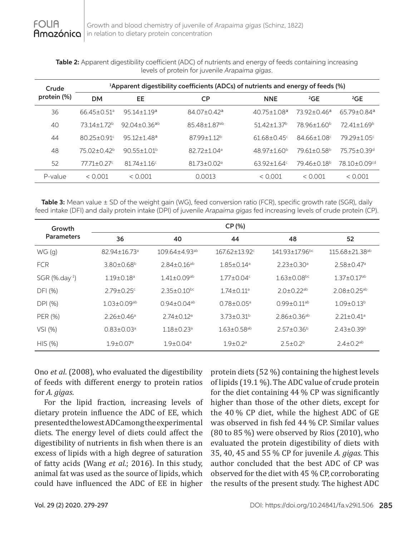**Table 2:** Apparent digestibility coefficient (ADC) of nutrients and energy of feeds containing increasing levels of protein for juvenile *Arapaima gigas*.

| Crude<br>protein (%) | <sup>1</sup> Apparent digestibility coefficients (ADCs) of nutrients and energy of feeds (%) |                              |                               |                               |                             |                             |  |
|----------------------|----------------------------------------------------------------------------------------------|------------------------------|-------------------------------|-------------------------------|-----------------------------|-----------------------------|--|
|                      | <b>DM</b>                                                                                    | EE                           | <b>CP</b>                     | <b>NNE</b>                    | ${}^{2}$ GE                 | ${}^{2}$ GE                 |  |
| 36                   | $6645+0.51a$                                                                                 | $95.14 + 1.19a$              | $84.07 + 0.42$ <sup>a</sup>   | $40.75 \pm 1.08$ <sup>a</sup> | $73.92 + 0.46a$             | $6579 + 0.84$ <sup>a</sup>  |  |
| 40                   | 7314+172 <sup>b</sup>                                                                        | $92.04 + 0.36$ <sup>ab</sup> | 8548+187 <sup>ab</sup>        | $51.42 + 1.37$ <sup>b</sup>   | 78.96+1.60 <sup>b</sup>     | $72.41 + 1.69^b$            |  |
| 44                   | $80.25 + 0.91$ <sup>c</sup>                                                                  | $95.12 + 1.48$ <sup>a</sup>  | 8799+1.12 <sup>b</sup>        | $61.68 + 0.45$                | 84 66+1 08 <sup>c</sup>     | $79.29 + 1.05$ c            |  |
| 48                   | $75.02 + 0.42b$                                                                              | $90.55 + 1.01b$              | $82.72 + 1.04$ <sup>a</sup>   | $48.97 \pm 1.60^b$            | $79.61 + 0.58$ <sup>b</sup> | $75.75 + 0.39$ <sup>d</sup> |  |
| 52                   | $77.71 + 0.27$                                                                               | $81.74 + 1.16$               | $81.73 \pm 0.02$ <sup>a</sup> | $63.92 + 1.64$ <sup>c</sup>   | 79.46±0.18 <sup>b</sup>     | 78.10+0.09 <sup>cd</sup>    |  |
| P-value              | < 0.001                                                                                      | < 0.001                      | 0.0013                        | < 0.001                       | < 0.001                     | < 0.001                     |  |

**Table 3:** Mean value ± SD of the weight gain (WG), feed conversion ratio (FCR), specific growth rate (SGR), daily feed intake (DFI) and daily protein intake (DPI) of juvenile *Arapaima gigas* fed increasing levels of crude protein (CP).

| Growth                     | CP (%)                         |                                 |                                 |                               |                                  |  |  |
|----------------------------|--------------------------------|---------------------------------|---------------------------------|-------------------------------|----------------------------------|--|--|
| <b>Parameters</b>          | 36                             | 40                              | 44                              | 48                            | 52                               |  |  |
| WG(g)                      | $82.94 \pm 16.73$ <sup>a</sup> | $109.64 \pm 4.93$ <sup>ab</sup> | $167.62 \pm 13.92$ <sup>c</sup> | 141.93±17.96 <sup>bc</sup>    | $115.68 \pm 21.38$ <sup>ab</sup> |  |  |
| <b>FCR</b>                 | $3.80 \pm 0.68^b$              | $2.84 \pm 0.16^{ab}$            | $1.85 \pm 0.14^a$               | $2.23 \pm 0.30$ <sup>a</sup>  | $2.58 \pm 0.47$ <sup>a</sup>     |  |  |
| SGR (%.day <sup>-1</sup> ) | $1.19 \pm 0.18$ <sup>a</sup>   | $1.41 \pm 0.09$ <sup>ab</sup>   | $1.77 \pm 0.04$ c               | $1.63 \pm 0.08$ <sub>bc</sub> | $1.37 \pm 0.17$ <sup>ab</sup>    |  |  |
| DFI (%)                    | $2.79 \pm 0.25$ <sup>c</sup>   | $2.35 \pm 0.10^{bc}$            | $1.74 \pm 0.11$ <sup>a</sup>    | $2.0 \pm 0.22$ <sup>ab</sup>  | $2.08 \pm 0.25$ <sup>ab</sup>    |  |  |
| DPI (%)                    | $1.03 \pm 0.09$ <sup>ab</sup>  | $0.94 \pm 0.04$ <sup>ab</sup>   | $0.78 \pm 0.05^a$               | $0.99 \pm 0.11$ <sup>ab</sup> | $1.09 \pm 0.13^b$                |  |  |
| PER (%)                    | $2.26 \pm 0.46^a$              | $2.74 \pm 0.12$ <sup>a</sup>    | $3.73 \pm 0.31^b$               | $2.86 \pm 0.36$ <sup>ab</sup> | $2.21 + 0.41a$                   |  |  |
| VSI (%)                    | $0.83 \pm 0.03$ <sup>a</sup>   | $1.18 \pm 0.23$ <sup>a</sup>    | $1.63 \pm 0.58$ <sup>ab</sup>   | $2.57 \pm 0.36^b$             | $2.43 \pm 0.39^b$                |  |  |
| HIS (%)                    | $1.9 \pm 0.07$ <sup>a</sup>    | $1.9 \pm 0.04$ <sup>a</sup>     | $1.9 \pm 0.2$ <sup>a</sup>      | $2.5 \pm 0.2^b$               | $2.4 \pm 0.2$ <sup>ab</sup>      |  |  |

Ono *et al*. (2008), who evaluated the digestibility of feeds with different energy to protein ratios for *A. gigas*.

For the lipid fraction, increasing levels of dietary protein influence the ADC of EE, which presented the lowest ADC among the experimental diets. The energy level of diets could affect the digestibility of nutrients in fish when there is an excess of lipids with a high degree of saturation of fatty acids (Wang *et al*.; 2016). In this study, animal fat was used as the source of lipids, which could have influenced the ADC of EE in higher

protein diets (52.%) containing the highest levels of lipids  $(19.1\%)$ . The ADC value of crude protein for the diet containing  $44\%$  CP was significantly higher than those of the other diets, except for the 40.% CP diet, while the highest ADC of GE was observed in fish fed 44.% CP. Similar values  $(80 \text{ to } 85 \%)$  were observed by Rios  $(2010)$ , who evaluated the protein digestibility of diets with 35, 40, 45 and 55.% CP for juvenile *A. gigas.* This author concluded that the best ADC of CP was observed for the diet with  $45\%$  CP, corroborating the results of the present study. The highest ADC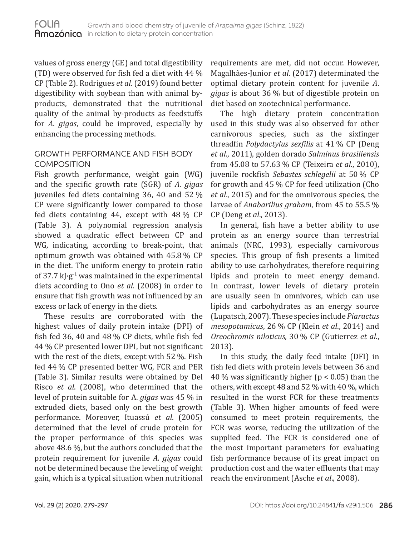values of gross energy (GE) and total digestibility (TD) were observed for fish fed a diet with 44 % CP (Table 2). Rodrigues *et al*. (2019) found better digestibility with soybean than with animal byproducts, demonstrated that the nutritional quality of the animal by-products as feedstuffs for *A*. *gigas*, could be improved, especially by enhancing the processing methods.

## GROWTH PERFORMANCE AND FISH BODY **COMPOSITION**

Fish growth performance, weight gain (WG) and the specific growth rate (SGR) of *A*. *gigas* juveniles fed diets containing 36, 40 and 52.% CP were significantly lower compared to those fed diets containing 44, except with  $48\%$  CP (Table 3). A polynomial regression analysis showed a quadratic effect between CP and WG, indicating, according to break-point, that optimum growth was obtained with  $45.8\%$  CP in the diet. The uniform energy to protein ratio of 37.7  $k$ J·g<sup>-1</sup> was maintained in the experimental diets according to Ono *et al*. (2008) in order to ensure that fish growth was not influenced by an excess or lack of energy in the diets.

These results are corroborated with the highest values of daily protein intake (DPI) of fish fed 36, 40 and 48 $%$  CP diets, while fish fed 44.% CP presented lower DPI, but not significant with the rest of the diets, except with 52 %. Fish fed 44.% CP presented better WG, FCR and PER (Table 3). Similar results were obtained by Del Risco *et al*. (2008), who determined that the level of protein suitable for A. *gigas* was 45.% in extruded diets, based only on the best growth performance. Moreover, Ituassú *et al*. (2005) determined that the level of crude protein for the proper performance of this species was above 48.6 %, but the authors concluded that the protein requirement for juvenile *A*. *gigas* could not be determined because the leveling of weight gain, which is a typical situation when nutritional

requirements are met, did not occur. However, Magalhães-Junior *et al*. (2017) determinated the optimal dietary protein content for juvenile *A*. *gigas* is about 36.% but of digestible protein on diet based on zootechnical performance.

The high dietary protein concentration used in this study was also observed for other carnivorous species, such as the sixfinger threadfin *Polydactylus sexfilis* at 41.% CP (Deng *et al*., 2011), golden dorado *Salminus brasiliensis* from 45.08 to 57.63.% CP (Teixeira *et al*., 2010), juvenile rockfish *Sebastes schlegelii* at 50.% CP for growth and  $45\%$  CP for feed utilization (Cho *et al*., 2015) and for the omnivorous species, the larvae of *Anabarilius graham*, from 45 to 55.5.% CP (Deng *et al*., 2013).

In general, fish have a better ability to use protein as an energy source than terrestrial animals (NRC, 1993), especially carnivorous species. This group of fish presents a limited ability to use carbohydrates, therefore requiring lipids and protein to meet energy demand. In contrast, lower levels of dietary protein are usually seen in omnivores, which can use lipids and carbohydrates as an energy source (Lupatsch, 2007). These species include *Piaractus mesopotamicus*, 26.% CP (Klein *et al*., 2014) and *Oreochromis niloticus,* 30.% CP (Gutierrez *et al.*, 2013).

In this study, the daily feed intake (DFI) in fish fed diets with protein levels between 36 and 40 % was significantly higher ( $p < 0.05$ ) than the others, with except 48 and 52 % with 40 %, which resulted in the worst FCR for these treatments (Table 3). When higher amounts of feed were consumed to meet protein requirements, the FCR was worse, reducing the utilization of the supplied feed. The FCR is considered one of the most important parameters for evaluating fish performance because of its great impact on production cost and the water effluents that may reach the environment (Asche *et al*., 2008).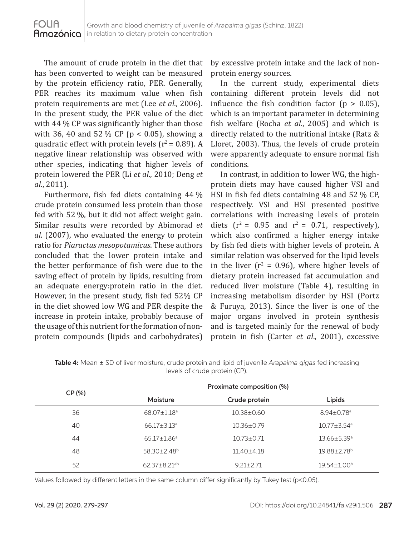The amount of crude protein in the diet that has been converted to weight can be measured by the protein efficiency ratio, PER. Generally, PER reaches its maximum value when fish protein requirements are met (Lee *et al*., 2006). In the present study, the PER value of the diet with 44 % CP was significantly higher than those with 36, 40 and 52 % CP ( $p < 0.05$ ), showing a quadratic effect with protein levels ( $r^2$  = 0.89). A negative linear relationship was observed with other species, indicating that higher levels of protein lowered the PER (Li *et al*., 2010; Deng *et al*., 2011).

Furthermore, fish fed diets containing 44 % crude protein consumed less protein than those fed with 52 %, but it did not affect weight gain. Similar results were recorded by Abimorad *et al*. (2007), who evaluated the energy to protein ratio for *Piaractus mesopotamicus*. These authors concluded that the lower protein intake and the better performance of fish were due to the saving effect of protein by lipids, resulting from an adequate energy:protein ratio in the diet. However, in the present study, fish fed 52% CP in the diet showed low WG and PER despite the increase in protein intake, probably because of the usage of this nutrient for the formation of nonprotein compounds (lipids and carbohydrates)

by excessive protein intake and the lack of nonprotein energy sources.

In the current study, experimental diets containing different protein levels did not influence the fish condition factor ( $p > 0.05$ ), which is an important parameter in determining fish welfare (Rocha *et al*., 2005) and which is directly related to the nutritional intake (Ratz & Lloret, 2003). Thus, the levels of crude protein were apparently adequate to ensure normal fish conditions.

In contrast, in addition to lower WG, the highprotein diets may have caused higher VSI and HSI in fish fed diets containing 48 and 52.% CP, respectively. VSI and HSI presented positive correlations with increasing levels of protein diets  $(r^2 = 0.95$  and  $r^2 = 0.71$ , respectively), which also confirmed a higher energy intake by fish fed diets with higher levels of protein. A similar relation was observed for the lipid levels in the liver ( $r^2 = 0.96$ ), where higher levels of dietary protein increased fat accumulation and reduced liver moisture (Table 4), resulting in increasing metabolism disorder by HSI (Portz & Furuya, 2013). Since the liver is one of the major organs involved in protein synthesis and is targeted mainly for the renewal of body protein in fish (Carter *et al*., 2001), excessive

| CP (%) | Proximate composition (%)      |                  |                               |  |  |
|--------|--------------------------------|------------------|-------------------------------|--|--|
|        | Moisture                       | Crude protein    | Lipids                        |  |  |
| 36     | $68.07 \pm 1.18$ <sup>a</sup>  | $10.38 \pm 0.60$ | $8.94 \pm 0.78$ <sup>a</sup>  |  |  |
| 40     | $66.17 \pm 3.13$ <sup>a</sup>  | $10.36 \pm 0.79$ | $10.77 \pm 3.54$ <sup>a</sup> |  |  |
| 44     | $65.17 \pm 1.86^a$             | $10.73 \pm 0.71$ | $13.66 \pm 5.39$ <sup>a</sup> |  |  |
| 48     | $58.30 \pm 2.48^b$             | $11.40 \pm 4.18$ | 19.88±2.78 <sup>b</sup>       |  |  |
| 52     | $62.37 \pm 8.21$ <sup>ab</sup> | $9.21 + 2.71$    | $19.54 \pm 1.00^{\circ}$      |  |  |

**Table 4:** Mean ± SD of liver moisture, crude protein and lipid of juvenile *Arapaima gigas* fed increasing levels of crude protein (CP).

Values followed by different letters in the same column differ significantly by Tukey test (p<0.05).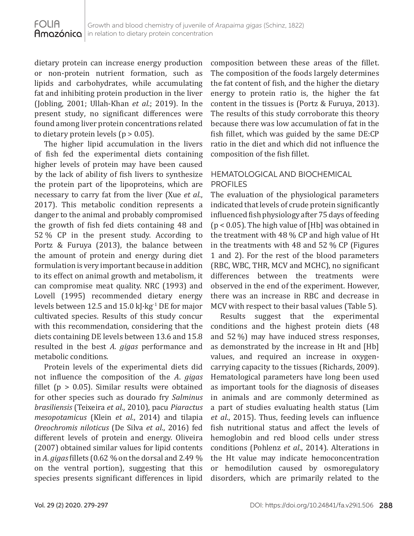dietary protein can increase energy production or non-protein nutrient formation, such as lipids and carbohydrates, while accumulating fat and inhibiting protein production in the liver (Jobling, 2001; Ullah-Khan *et al*.; 2019). In the present study, no significant differences were found among liver protein concentrations related to dietary protein levels ( $p > 0.05$ ).

The higher lipid accumulation in the livers of fish fed the experimental diets containing higher levels of protein may have been caused by the lack of ability of fish livers to synthesize the protein part of the lipoproteins, which are necessary to carry fat from the liver (Xue *et al*., 2017). This metabolic condition represents a danger to the animal and probably compromised the growth of fish fed diets containing 48 and 52.% CP in the present study. According to Portz & Furuya (2013), the balance between the amount of protein and energy during diet formulation is very important because in addition to its effect on animal growth and metabolism, it can compromise meat quality. NRC (1993) and Lovell (1995) recommended dietary energy levels between 12.5 and 15.0 kJ $\cdot$ kg<sup>-1</sup> DE for major cultivated species. Results of this study concur with this recommendation, considering that the diets containing DE levels between 13.6 and 15.8 resulted in the best *A*. *gigas* performance and metabolic conditions.

Protein levels of the experimental diets did not influence the composition of the *A*. *gigas* fillet ( $p > 0.05$ ). Similar results were obtained for other species such as dourado fry *Salminus brasiliensis* (Teixeira *et al*., 2010), pacu *Piaractus mesopotamicus* (Klein *et al*., 2014) and tilapia *Oreochromis niloticus* (De Silva *et al*., 2016) fed different levels of protein and energy. Oliveira (2007) obtained similar values for lipid contents in *A. gigas* fillets (0.62 % on the dorsal and 2.49 % on the ventral portion), suggesting that this species presents significant differences in lipid

composition between these areas of the fillet. The composition of the foods largely determines the fat content of fish, and the higher the dietary energy to protein ratio is, the higher the fat content in the tissues is (Portz & Furuya, 2013). The results of this study corroborate this theory because there was low accumulation of fat in the fish fillet, which was guided by the same DE:CP ratio in the diet and which did not influence the composition of the fish fillet.

## HEMATOLOGICAL AND BIOCHEMICAL PROFILES

The evaluation of the physiological parameters indicated that levels of crude protein significantly influenced fish physiology after 75 days of feeding  $(p < 0.05)$ . The high value of [Hb] was obtained in the treatment with  $48\%$  CP and high value of Ht in the treatments with 48 and 52.% CP (Figures 1 and 2). For the rest of the blood parameters (RBC, WBC, THR, MCV and MCHC), no significant differences between the treatments were observed in the end of the experiment. However, there was an increase in RBC and decrease in MCV with respect to their basal values (Table 5).

Results suggest that the experimental conditions and the highest protein diets (48 and 52.%) may have induced stress responses, as demonstrated by the increase in Ht and [Hb] values, and required an increase in oxygencarrying capacity to the tissues (Richards, 2009). Hematological parameters have long been used as important tools for the diagnosis of diseases in animals and are commonly determined as a part of studies evaluating health status (Lim *et al*., 2015). Thus, feeding levels can influence fish nutritional status and affect the levels of hemoglobin and red blood cells under stress conditions (Pohlenz *et al*., 2014). Alterations in the Ht value may indicate hemoconcentration or hemodilution caused by osmoregulatory disorders, which are primarily related to the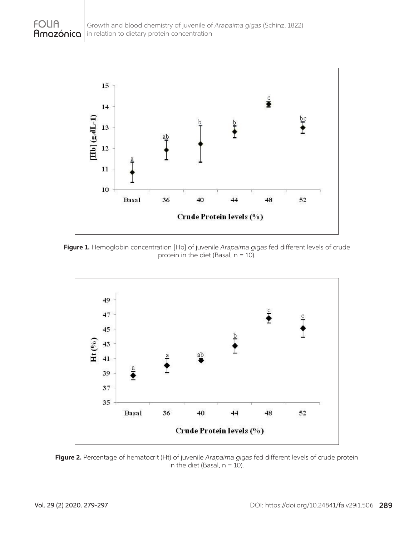

**Figure 1.** Hemoglobin concentration [Hb] of juvenile *Arapaima gigas* fed different levels of crude protein in the diet (Basal,  $n = 10$ ).



**Figure 2.** Percentage of hematocrit (Ht) of juvenile *Arapaima gigas* fed different levels of crude protein in the diet (Basal,  $n = 10$ ).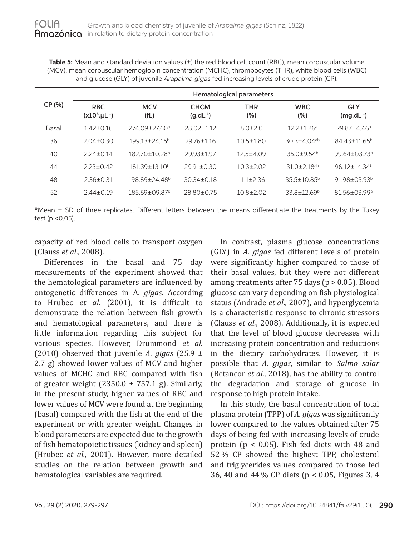**Table 5:** Mean and standard deviation values ( $\pm$ ) the red blood cell count (RBC), mean corpuscular volume (MCV), mean corpuscular hemoglobin concentration (MCHC), thrombocytes (THR), white blood cells (WBC) and glucose (GLY) of juvenile *Arapaima gigas* fed increasing levels of crude protein (CP).

|        | Hematological parameters           |                               |                              |                   |                               |                              |  |  |
|--------|------------------------------------|-------------------------------|------------------------------|-------------------|-------------------------------|------------------------------|--|--|
| CP (%) | <b>RBC</b><br>$(x10^6 \mu L^{-1})$ | <b>MCV</b><br>(fL)            | <b>CHCM</b><br>$(g.dL^{-1})$ | <b>THR</b><br>(%) | <b>WBC</b><br>(%)             | <b>GLY</b><br>$(mg.dL^{-1})$ |  |  |
| Basal  | $142+0.16$                         | $274.09 + 27.60$ <sup>a</sup> | $28.02 + 1.12$               | $8.0 + 2.0$       | $12.2 + 1.26$ <sup>a</sup>    | $29.87 + 4.46a$              |  |  |
| 36     | $2.04 + 0.30$                      | $19913+2415b$                 | $29.76 + 1.16$               | $10.5 \pm 1.80$   | $30.3 + 4.04$ <sup>ab</sup>   | 84 43 + 11 65 <sup>b</sup>   |  |  |
| 40     | $2.24 + 0.14$                      | $182.70 + 10.28$ <sup>b</sup> | 29.93+1.97                   | $12.5 + 4.09$     | $35.0 + 9.54^b$               | $99.64 \pm 03.73^b$          |  |  |
| 44     | $223+042$                          | $181.39 + 13.10^b$            | $29.91 \pm 0.30$             | $10.3 \pm 2.02$   | $31.0 \pm 2.18$ <sup>ab</sup> | $9612+14.34b$                |  |  |
| 48     | $2.36 \pm 0.31$                    | $198.89 + 24.48$ <sup>b</sup> | $30.34 \pm 0.18$             | $11.1 \pm 2.36$   | $35.5 + 10.85^{\circ}$        | $91.98 + 0.3.93b$            |  |  |
| 52     | $2.44 \pm 0.19$                    | 185.69±09.87 <sup>b</sup>     | 28.80±0.75                   | $10.8 \pm 2.02$   | $33.8 \pm 12.69^{\circ}$      | $81.56 \pm 03.99^{\circ}$    |  |  |

\*Mean ± SD of three replicates. Different letters between the means differentiate the treatments by the Tukey test (p <0.05).

capacity of red blood cells to transport oxygen (Clauss *et al*., 2008).

Differences in the basal and 75 day measurements of the experiment showed that the hematological parameters are influenced by ontogenetic differences in A. *gigas*. According to Hrubec *et al*. (2001), it is difficult to demonstrate the relation between fish growth and hematological parameters, and there is little information regarding this subject for various species. However, Drummond *et al.* (2010) observed that juvenile *A*. *gigas* (25.9 ± 2.7 g) showed lower values of MCV and higher values of MCHC and RBC compared with fish of greater weight (2350.0  $\pm$  757.1 g). Similarly, in the present study, higher values of RBC and lower values of MCV were found at the beginning (basal) compared with the fish at the end of the experiment or with greater weight. Changes in blood parameters are expected due to the growth of fish hematopoietic tissues (kidney and spleen) (Hrubec *et al.*, 2001). However, more detailed studies on the relation between growth and hematological variables are required.

In contrast, plasma glucose concentrations (GLY) in *A*. *gigas* fed different levels of protein were significantly higher compared to those of their basal values, but they were not different among treatments after 75 days (p > 0.05). Blood glucose can vary depending on fish physiological status (Andrade *et al*., 2007), and hyperglycemia is a characteristic response to chronic stressors (Clauss *et al.*, 2008). Additionally, it is expected that the level of blood glucose decreases with increasing protein concentration and reductions in the dietary carbohydrates. However, it is possible that *A*. *gigas*, similar to *Salmo salar* (Betancor *et al*., 2018), has the ability to control the degradation and storage of glucose in response to high protein intake.

In this study, the basal concentration of total plasma protein (TPP) of *A*. *gigas* was significantly lower compared to the values obtained after 75 days of being fed with increasing levels of crude protein (p < 0.05). Fish fed diets with 48 and 52.% CP showed the highest TPP, cholesterol and triglycerides values compared to those fed 36, 40 and 44.% CP diets (p < 0.05, Figures 3, 4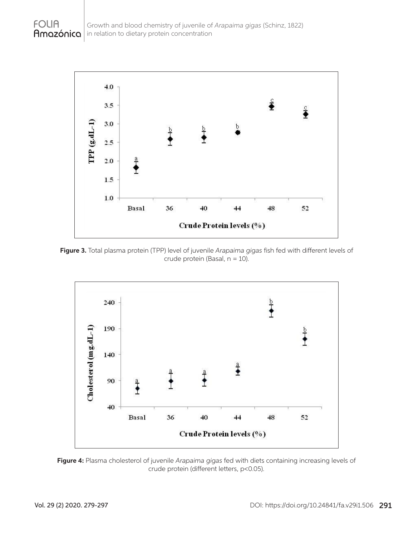

**Figure 3.** Total plasma protein (TPP) level of juvenile *Arapaima gigas* fish fed with different levels of crude protein (Basal, n = 10).





**FOLIA**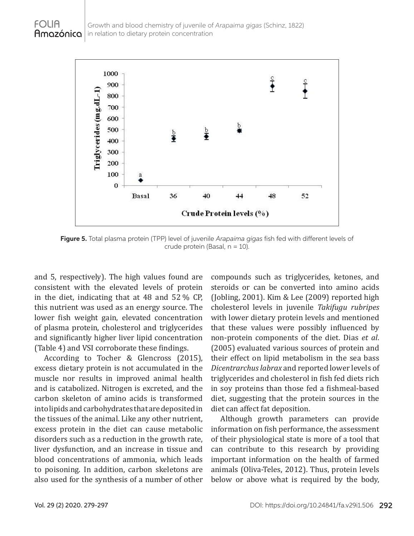

**Figure 5.** Total plasma protein (TPP) level of juvenile *Arapaima gigas* fish fed with different levels of crude protein (Basal,  $n = 10$ ).

and 5, respectively). The high values found are consistent with the elevated levels of protein in the diet, indicating that at  $48$  and  $52\%$  CP, this nutrient was used as an energy source. The lower fish weight gain, elevated concentration of plasma protein, cholesterol and triglycerides and significantly higher liver lipid concentration (Table 4) and VSI corroborate these findings.

According to Tocher & Glencross (2015), excess dietary protein is not accumulated in the muscle nor results in improved animal health and is catabolized. Nitrogen is excreted, and the carbon skeleton of amino acids is transformed into lipids and carbohydrates that are deposited in the tissues of the animal. Like any other nutrient, excess protein in the diet can cause metabolic disorders such as a reduction in the growth rate, liver dysfunction, and an increase in tissue and blood concentrations of ammonia, which leads to poisoning. In addition, carbon skeletons are also used for the synthesis of a number of other compounds such as triglycerides, ketones, and steroids or can be converted into amino acids (Jobling, 2001). Kim & Lee (2009) reported high cholesterol levels in juvenile *Takifugu rubripes* with lower dietary protein levels and mentioned that these values were possibly influenced by non-protein components of the diet. Dias *et al*. (2005) evaluated various sources of protein and their effect on lipid metabolism in the sea bass *Dicentrarchus labrax* and reported lower levels of triglycerides and cholesterol in fish fed diets rich in soy proteins than those fed a fishmeal-based diet, suggesting that the protein sources in the diet can affect fat deposition.

Although growth parameters can provide information on fish performance, the assessment of their physiological state is more of a tool that can contribute to this research by providing important information on the health of farmed animals (Oliva-Teles, 2012). Thus, protein levels below or above what is required by the body,

**FOLIA**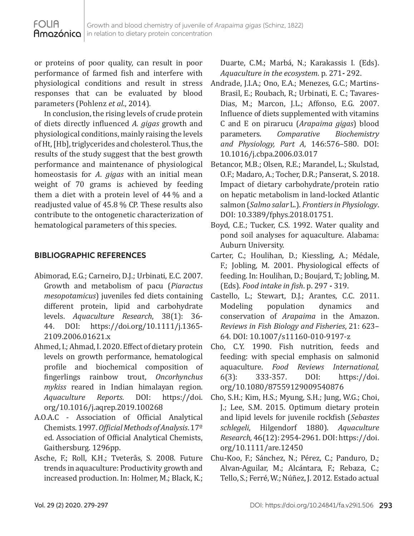or proteins of poor quality, can result in poor performance of farmed fish and interfere with physiological conditions and result in stress responses that can be evaluated by blood parameters (Pohlenz *et al*., 2014).

In conclusion, the rising levels of crude protein of diets directly influenced *A. gigas* growth and physiological conditions, mainly raising the levels of Ht, [Hb], triglycerides and cholesterol. Thus, the results of the study suggest that the best growth performance and maintenance of physiological homeostasis for *A*. *gigas* with an initial mean weight of 70 grams is achieved by feeding them a diet with a protein level of  $44\%$  and a readjusted value of 45.8 % CP. These results also contribute to the ontogenetic characterization of hematological parameters of this species.

## **BIBLIOGRAPHIC REFERENCES**

- Abimorad, E.G.; Carneiro, D.J.; Urbinati, E.C. 2007. Growth and metabolism of pacu (*Piaractus mesopotamicus*) juveniles fed diets containing different protein, lipid and carbohydrate levels. *Aquaculture Research*, 38(1): 36 https://doi.org/10.1111/j.1365-2109.2006.01621.x
- Ahmed, I.; Ahmad, I. 2020. Effect of dietary protein levels on growth performance, hematological profile and biochemical composition of fingerlings rainbow trout, *Oncorhynchus*  mykiss reared in Indian himalayan region.<br>Aquaculture Reports. DOI: https://doi. https://doi. org/10.1016/j.aqrep.2019.100268
- A.O.A.C Association of Official Analytical Chemists. 1997. *Official Methods of Analysis*. 17º ed. Association of Official Analytical Chemists, Gaithersburg. 1296pp.
- Asche, F.; Roll, K.H.; Tveterås, S. 2008. Future trends in aquaculture: Productivity growth and increased production. In: Holmer, M.; Black, K.;

Duarte, C.M.; Marbá, N.; Karakassis I. (Eds). *Aquaculture in the ecosystem*. p. 271**-** 292.

- Andrade, J.I.A.; Ono, E.A.; Menezes, G.C.; Martins-Brasil, E.; Roubach, R.; Urbinati, E. C.; Tavares-Dias, M.; Marcon, J.L.; Affonso, E.G. 2007. Influence of diets supplemented with vitamins C and E on pirarucu (*Arapaima gigas*) blood parameters. *Comparative Biochemistry and Physiology, Part A*, 146:576–580. DOI: 10.1016/j.cbpa.2006.03.017
- Betancor, M.B.; Olsen, R.E.; Marandel, L.; Skulstad, O.F.; Madaro, A.; Tocher, D.R.; Panserat, S. 2018. Impact of dietary carbohydrate/protein ratio on hepatic metabolism in land-locked Atlantic salmon (*Salmo salar* L.). *Frontiers in Physiology*. DOI: 10.3389/fphys.2018.01751.
- Boyd, C.E.; Tucker, C.S. 1992. Water quality and pond soil analyses for aquaculture. Alabama: Auburn University.
- Carter, C.; Houlihan, D.; Kiessling, A.; Médale, F.; Jobling, M. 2001. Physiological effects of feeding. In: Houlihan, D.; Boujard, T.; Jobling, M. (Eds). *Food intake in fish*. p. 297 **-** 319.
- Castello, L.; Stewart, D.J.; Arantes, C.C. 2011.<br>Modeling population dynamics and Modeling population dynamics and conservation of *Arapaima* in the Amazon. *Reviews in Fish Biology and Fisheries*, 21: 623– 64. DOI: 10.1007/s11160-010-9197-z
- Cho, C.Y. 1990. Fish nutrition, feeds and feeding: with special emphasis on salmonid aquaculture. *Food Reviews International,* DOI: https://doi. org/10.1080/87559129009540876
- Cho, S.H.; Kim, H.S.; Myung, S.H.; Jung, W.G.; Choi, J.; Lee, S.M. 2015. Optimum dietary protein and lipid levels for juvenile rockfish (*Sebastes schlegeli*, Hilgendorf 1880). *Aquaculture Research,* 46(12): 2954-2961. DOI: https://doi. org/10.1111/are.12450
- Chu-Koo, F.; Sánchez, N.; Pérez, C.; Panduro, D.; Alvan-Aguilar, M.; Alcántara, F.; Rebaza, C.; Tello, S.; Ferré, W.; Núñez, J. 2012. Estado actual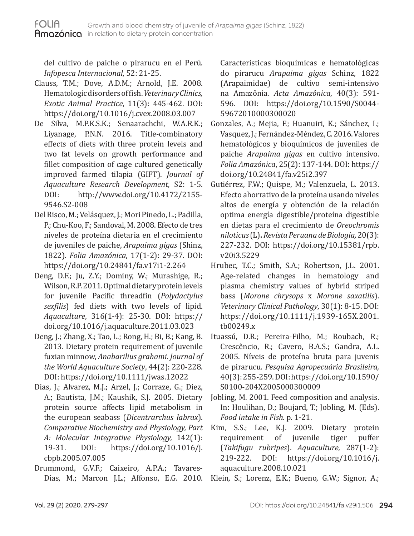del cultivo de paiche o pirarucu en el Perú*. Infopesca Internacional*, 52: 21-25.

- Clauss, T.M.; Dove, A.D.M.; Arnold, J.E. 2008. Hematologic disorders of fish. *Veterinary Clinics, Exotic Animal Practice*, 11(3): 445-462. DOI: https://doi.org/10.1016/j.cvex.2008.03.007
- De Silva, M.P.K.S.K.; Senaarachchi, W.A.R.K.; Liyanage, P.N.N. 2016. Title-combinatory effects of diets with three protein levels and two fat levels on growth performance and fillet composition of cage cultured genetically improved farmed tilapia (GIFT). *Journal of Aquaculture Research Development,* S2: 1-5. http://www.doi.org/10.4172/2155-9546.S2-008
- Del Risco, M.; Velásquez, J.; Mori Pinedo, L.; Padilla, P.; Chu-Koo, F.; Sandoval, M. 2008. Efecto de tres niveles de proteína dietaria en el crecimiento de juveniles de paiche, *Arapaima gigas* (Shinz, 1822). *Folia Amazónica*, 17(1-2): 29-37. DOI: https://doi.org/10.24841/fa.v17i1-2.264
- Deng, D.F.; Ju, Z.Y.; Dominy, W.; Murashige, R.; Wilson, R.P. 2011. Optimal dietary protein levels for juvenile Pacific threadfin (*Polydactylus sexfilis*) fed diets with two levels of lipid. *Aquaculture*, 316(1-4): 25**-**30. DOI: https:// doi.org/10.1016/j.aquaculture.2011.03.023
- Deng, J.; Zhang, X.; Tao, L.; Rong, H.; Bi, B.; Kang, B. 2013. Dietary protein requirement of juvenile fuxian minnow, *Anabarilius grahami*. *Journal of the World Aquaculture Society*, 44(2): 220-228. DOI: https://doi.org/10.1111/jwas.12022
- Dias, J.; Alvarez, M.J.; Arzel, J.; Corraze, G.; Diez, A.; Bautista, J.M.; Kaushik, S.J. 2005. Dietary protein source affects lipid metabolism in the european seabass (*Dicentrarchus labrax*). *Comparative Biochemistry and Physiology, Part A: Molecular Integrative Physiology,* 142(1): https://doi.org/10.1016/j. cbpb.2005.07.005
- Drummond, G.V.F.; Caixeiro, A.P.A.; Tavares-

Características bioquímicas e hematológicas do pirarucu *Arapaima gigas* Schinz, 1822 (Arapaimidae) de cultivo semi-intensivo na Amazônia. *Acta Amazônica*, 40(3): 591- 596. DOI: https://doi.org/10.1590/S0044- 59672010000300020

- Gonzales, A.; Mejia, F.; Huanuiri, K.; Sánchez, I.; Vasquez, J.; Fernández-Méndez, C. 2016. Valores hematológicos y bioquímicos de juveniles de paiche *Arapaima gigas* en cultivo intensivo. *Folia Amazónica*, 25(2): 137-144. DOI: https:// doi.org/10.24841/fa.v25i2.397
- Gutiérrez, F.W.; Quispe, M.; Valenzuela, L. 2013. Efecto ahorrativo de la proteína usando niveles altos de energía y obtención de la relación optima energía digestible/proteína digestible en dietas para el crecimiento de *Oreochromis niloticus*(L)**.***Revista Peruana de Biología,* 20(3): 227-232. DOI: https://doi.org/10.15381/rpb. v20i3.5229
- Hrubec, T.C.; Smith, S.A.; Robertson, J.L. 2001. Age-related changes in hematology and plasma chemistry values of hybrid striped bass (*Morone chrysops* x *Morone saxatilis*). *Veterinary Clinical Pathology*, 30(1): 8-15. DOI: https://doi.org/10.1111/j.1939-165X.2001. tb00249.x
- Ituassú, D.R.; Pereira-Filho, M.; Roubach, R.; Crescêncio, R.; Cavero, B.A.S.; Gandra, A.L. 2005. Níveis de proteína bruta para juvenis de pirarucu. *Pesquisa Agropecuária Brasileira,* 40(3): 255-259. DOI: https://doi.org/10.1590/ S0100-204X2005000300009
- Jobling, M. 2001. Feed composition and analysis. In: Houlihan, D.; Boujard, T.; Jobling, M. (Eds). *Food intake in Fish*. p. 1-21.
- Kim, S.S.; Lee, K.J. 2009. Dietary protein<br>requirement of juvenile tiger puffer requirement of juvenile tiger puffer (*Takifugu rubripes*). *Aquaculture,* 287(1-2): https://doi.org/10.1016/j. aquaculture.2008.10.021
- Dias, M.; Marcon J.L.; Affonso, E.G. 2010. Klein, S.; Lorenz, E.K.; Bueno, G.W.; Signor, A.;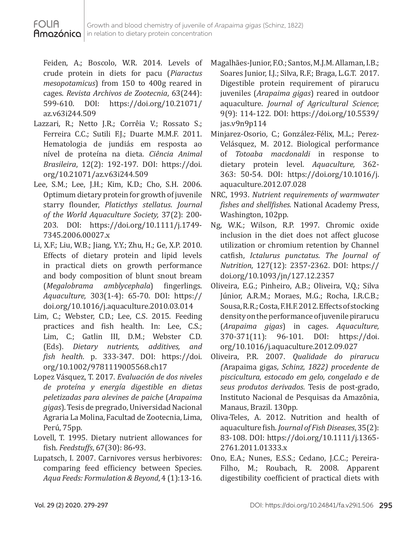Feiden, A.; Boscolo, W.R. 2014. Levels of crude protein in diets for pacu (*Piaractus mesopotamicus*) from 150 to 400g reared in cages. *Revista Archivos de Zootecnia*, 63(244): https://doi.org/10.21071/ az.v63i244.509

**FOLIA** 

- Lazzari, R.; Netto J.R.; Corrêia V.; Rossato S.; Ferreira C.C.; Sutili F.J.; Duarte M.M.F. 2011. Hematologia de jundiás em resposta ao nível de proteína na dieta. *Ciência Animal Brasileira*, 12(2): 192-197. DOI: https://doi. org/10.21071/az.v63i244.509
- Lee, S.M.; Lee, J.H.; Kim, K.D.; Cho, S.H. 2006. Optimum dietary protein for growth of juvenile starry flounder, *Platicthys stellatus*. *Journal of the World Aquaculture Society,* 37(2): 200- 203. DOI: https://doi.org/10.1111/j.1749- 7345.2006.00027.x
- Li, X.F.; Liu, W.B.; Jiang, Y.Y.; Zhu, H.; Ge, X.P. 2010. Effects of dietary protein and lipid levels in practical diets on growth performance and body composition of blunt snout bream<br>(*Megalobrama amblycephala*) fingerlings.  $amb$ *lycephala*) *Aquaculture,* 303(1-4): 65-70. DOI: https:// doi.org/10.1016/j.aquaculture.2010.03.014
- Lim, C.; Webster, C.D.; Lee, C.S. 2015. Feeding practices and fish health. In: Lee, C.S.; Lim, C.; Gatlin III, D.M.; Webster C.D.<br>(Eds). Dietary nutrients. additives. and (Eds). *Dietary nutrients*, *fish health*. p. 333-347. DOI: https://doi. org/10.1002/9781119005568.ch17
- Lopez Vásquez, T. 2017. *Evaluación de dos niveles de proteína y energía digestible en dietas peletizadas para alevines de paiche* (*Arapaima gigas*). Tesis de pregrado, Universidad Nacional Agraria La Molina, Facultad de Zootecnia, Lima, Perú, 75pp.
- Lovell, T. 1995. Dietary nutrient allowances for fish. *Feedstuffs*, 67(30): 86**-**93.
- Lupatsch, I. 2007. Carnivores versus herbivores: comparing feed efficiency between Species. *Aqua Feeds: Formulation & Beyond*, 4 (1):13-16.
- Magalhães-Junior, F.O.; Santos, M.J.M. Allaman, I.B.; Soares Junior, I.J.; Silva, R.F.; Braga, L.G.T. 2017. Digestible protein requirement of pirarucu juveniles (*Arapaima gigas*) reared in outdoor aquaculture. *Journal of Agricultural Science*; 9(9): 114-122. DOI: https://doi.org/10.5539/ jas.v9n9p114
- Minjarez-Osorio, C.; González-Félix, M.L.; Perez-Velásquez, M. 2012. Biological performance of *Totoaba macdonaldi* in response to dietary protein level. *Aquaculture,* 362- 363: 50**-**54. DOI: https://doi.org/10.1016/j. aquaculture.2012.07.028
- NRC, 1993. *Nutrient requirements of warmwater fishes and shellfishes*. National Academy Press, Washington, 102pp.
- Ng, W.K.; Wilson, R.P. 1997. Chromic oxide inclusion in the diet does not affect glucose utilization or chromium retention by Channel catfish, *Ictalurus punctatus*. *The Journal of Nutrition*, 127(12): 2357-2362. DOI: https:// doi.org/10.1093/jn/127.12.2357
- Oliveira, E.G.; Pinheiro, A.B.; Oliveira, V.Q.; Silva Júnior, A.R.M.; Moraes, M.G.; Rocha, I.R.C.B.; Sousa, R.R.; Costa, F.H.F. 2012. Effects of stocking density on the performance of juvenile pirarucu (*Arapaima gigas*) in cages. *Aquaculture,* 370-371(11): 96-101. DOI: https://doi. org/10.1016/j.aquaculture.2012.09.027
- Oliveira, P.R. 2007. *Qualidade do pirarucu (*Arapaima gigas*, Schinz, 1822) procedente de piscicultura, estocado em gelo, congelado e de seus produtos derivados*. Tesis de post-grado, Instituto Nacional de Pesquisas da Amazônia, Manaus, Brazil. 130pp.
- Oliva-Teles, A. 2012. Nutrition and health of aquaculture fish. *Journal of Fish Diseases*, 35(2): 83-108. DOI: https://doi.org/10.1111/j.1365- 2761.2011.01333.x
- Ono, E.A.; Nunes, E.S.S.; Cedano, J.C.C.; Pereira-Filho, M.; Roubach, R. 2008. Apparent digestibility coefficient of practical diets with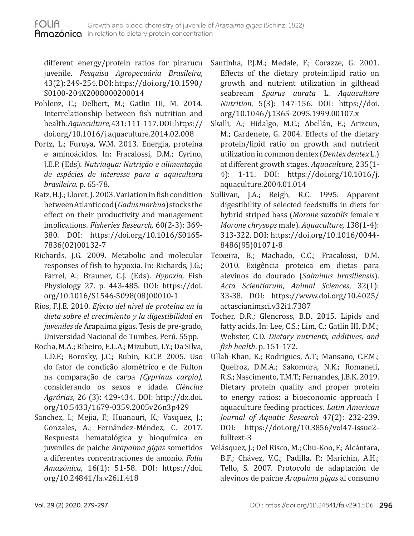different energy/protein ratios for pirarucu juvenile. *Pesquisa Agropecuária Brasileira*, 43(2): 249-254. DOI: https://doi.org/10.1590/ S0100-204X2008000200014

- Pohlenz, C.; Delbert, M.; Gatlin III, M. 2014. Interrelationship between fish nutrition and health. *Aquaculture,* 431: 111-117. DOI: https:// doi.org/10.1016/j.aquaculture.2014.02.008
- Portz, L.; Furuya, W.M. 2013. Energia, proteína e aminoácidos. In: Fracalossi, D.M.; Cyrino, J.E.P. (Eds). *Nutriaqua: Nutrição e alimentação de espécies de interesse para a aquicultura brasileira.* p. 65-78.
- Ratz, H.J.; Lloret, J. 2003. Variation in fish condition between Atlantic cod (*Gadus morhua*) stocks the effect on their productivity and management implications. *Fisheries Research,* 60(2-3): 369**-** 380. DOI: https://doi.org/10.1016/S0165- 7836(02)00132-7
- Richards, J.G. 2009. Metabolic and molecular responses of fish to hypoxia. In: Richards, J.G.; Farrel, A.; Brauner, C.J. (Eds). *Hypoxia,* Fish Physiology 27. p. 443-485. DOI: https://doi. org/10.1016/S1546-5098(08)00010-1
- Ríos, F.J.E. 2010. *Efecto del nivel de proteína en la dieta sobre el crecimiento y la digestibilidad en juveniles de* Arapaima gigas. Tesis de pre-grado, Universidad Nacional de Tumbes, Perú. 55pp.
- Rocha, M.A.; Ribeiro, E.L.A.; Mizubuti, I.Y.; Da Silva, L.D.F.; Borosky, J.C.; Rubin, K.C.P. 2005. Uso do fator de condição alométrico e de Fulton na comparação de carpa *(Cyprinus carpio),*  considerando os sexos e idade. *Ciências Agrárias*, 26 (3): 429**-**434. DOI: http://dx.doi. org/10.5433/1679-0359.2005v26n3p429
- Sanchez, I.; Mejia, F.; Huanauri, K.; Vasquez, J.; Gonzales, A.; Fernández-Méndez, C. 2017. Respuesta hematológica y bioquímica en juveniles de paiche *Arapaima gigas* sometidos a diferentes concentraciones de amonio. *Folia Amazónica*, 16(1): 51-58. DOI: https://doi. org/10.24841/fa.v26i1.418
- Santinha, P.J.M.; Medale, F.; Corazze, G. 2001. Effects of the dietary protein:lipid ratio on growth and nutrient utilization in gilthead seabream *Sparus aurata* L. *Aquaculture Nutrition*, 5(3): 147-156. DOI: https://doi. org/10.1046/j.1365-2095.1999.00107.x
- Skalli, A.; Hidalgo, M.C.; Abellán, E.; Arizcun, M.; Cardenete, G. 2004. Effects of the dietary protein/lipid ratio on growth and nutrient utilization in common dentex (*Dentex dentex*L.) at different growth stages. *Aquaculture*, 235(1- 4): 1-11. DOI: https://doi.org/10.1016/j. aquaculture.2004.01.014
- Sullivan, J.A.; Reigh, R.C. 1995. Apparent digestibility of selected feedstuffs in diets for hybrid striped bass (*Morone saxatilis* female x *Morone chrysops* male). *Aquaculture,* 138(1-4): 313-322. DOI: https://doi.org/10.1016/0044- 8486(95)01071-8
- Teixeira, B.; Machado, C.C.; Fracalossi, D.M. 2010. Exigência proteica em dietas para alevinos do dourado (*Salminus brasiliensis*). *Acta Scientiarum*, *Animal Sciences*, 32(1): 33**-**38. DOI: https://www.doi.org/10.4025/ actascianimsci.v32i1.7387
- Tocher, D.R.; Glencross, B.D. 2015. Lipids and fatty acids. In: Lee, C.S.; Lim, C.; Gatlin III, D.M.; Webster, C.D. *Dietary nutrients, additives, and fish health*. p. 151-172.
- Ullah-Khan, K.; Rodrigues, A.T.; Mansano, C.F.M.; Queiroz, D.M.A.; Sakomura, N.K.; Romaneli, R.S.; Nascimento, T.M.T.; Fernandes, J.B.K. 2019. Dietary protein quality and proper protein to energy ratios: a bioeconomic approach I aquaculture feeding practices. *Latin American Journal of Aquatic Research* 47(2): 232-239. DOI: https://doi.org/10.3856/vol47-issue2 fulltext-3
- Velásquez, J.; Del Risco, M.; Chu-Koo, F.; Alcántara, B.F.; Chávez, V.C.; Padilla, P.; Marichin, A.H.; Tello, S. 2007. Protocolo de adaptación de alevinos de paiche *Arapaima gigas* al consumo